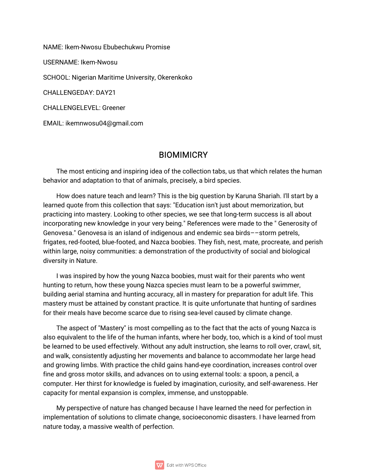NAME: Ikem-Nwosu Ebubechukwu Promise **USERNAME: Ikem-Nwosu** SCHOOL: Nigerian Maritime University, Okerenkoko CHALLENGEDAY: DAY21 **CHALLENGELEVEL: Greener** 

EMAIL: ikemnwosu04@gmail.com

## **BIOMIMICRY**

The most enticing and inspiring idea of the collection tabs, us that which relates the human behavior and adaptation to that of animals, precisely, a bird species.

How does nature teach and learn? This is the big question by Karuna Shariah. I'll start by a learned quote from this collection that says: "Education isn't just about memorization, but practicing into mastery. Looking to other species, we see that long-term success is all about incorporating new knowledge in your very being." References were made to the "Generosity of Genovesa." Genovesa is an island of indigenous and endemic sea birds--storm petrels, frigates, red-footed, blue-footed, and Nazca boobies. They fish, nest, mate, procreate, and perish within large, noisy communities: a demonstration of the productivity of social and biological diversity in Nature.

I was inspired by how the young Nazca boobies, must wait for their parents who went hunting to return, how these young Nazca species must learn to be a powerful swimmer, building aerial stamina and hunting accuracy, all in mastery for preparation for adult life. This mastery must be attained by constant practice. It is quite unfortunate that hunting of sardines for their meals have become scarce due to rising sea-level caused by climate change.

The aspect of "Mastery" is most compelling as to the fact that the acts of young Nazca is also equivalent to the life of the human infants, where her body, too, which is a kind of tool must be learned to be used effectively. Without any adult instruction, she learns to roll over, crawl, sit, and walk, consistently adjusting her movements and balance to accommodate her large head and growing limbs. With practice the child gains hand-eye coordination, increases control over fine and gross motor skills, and advances on to using external tools: a spoon, a pencil, a computer. Her thirst for knowledge is fueled by imagination, curiosity, and self-awareness. Her capacity for mental expansion is complex, immense, and unstoppable.

My perspective of nature has changed because I have learned the need for perfection in implementation of solutions to climate change, socioeconomic disasters. I have learned from nature today, a massive wealth of perfection.